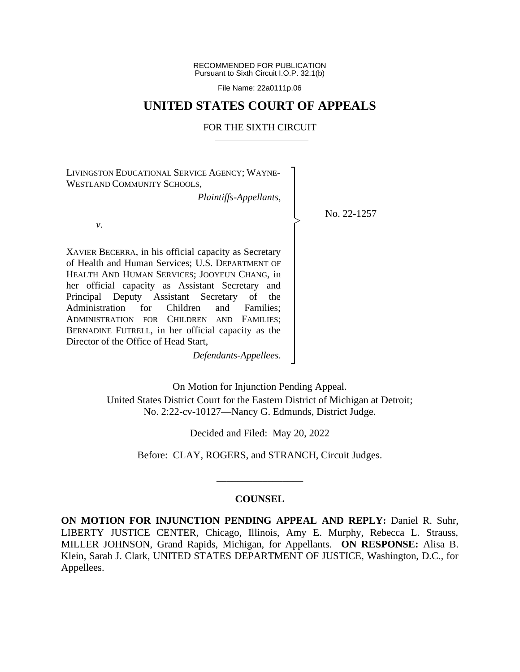RECOMMENDED FOR PUBLICATION Pursuant to Sixth Circuit I.O.P. 32.1(b)

File Name: 22a0111p.06

## **UNITED STATES COURT OF APPEALS**

## FOR THE SIXTH CIRCUIT

┐ │ │ │ │ │ │ │ │ │ │ │ │ │ │ │ │ ┘

|<br>|<br>|

LIVINGSTON EDUCATIONAL SERVICE AGENCY; WAYNE-WESTLAND COMMUNITY SCHOOLS,

*Plaintiffs-Appellants*,

No. 22-1257

*v*.

XAVIER BECERRA, in his official capacity as Secretary of Health and Human Services; U.S. DEPARTMENT OF HEALTH AND HUMAN SERVICES; JOOYEUN CHANG, in her official capacity as Assistant Secretary and Principal Deputy Assistant Secretary of the Administration for Children and Families; ADMINISTRATION FOR CHILDREN AND FAMILIES; BERNADINE FUTRELL, in her official capacity as the Director of the Office of Head Start,

*Defendants-Appellees*.

On Motion for Injunction Pending Appeal. United States District Court for the Eastern District of Michigan at Detroit; No. 2:22-cv-10127—Nancy G. Edmunds, District Judge.

Decided and Filed: May 20, 2022

Before: CLAY, ROGERS, and STRANCH, Circuit Judges.

\_\_\_\_\_\_\_\_\_\_\_\_\_\_\_\_\_

## **COUNSEL**

**ON MOTION FOR INJUNCTION PENDING APPEAL AND REPLY:** Daniel R. Suhr, LIBERTY JUSTICE CENTER, Chicago, Illinois, Amy E. Murphy, Rebecca L. Strauss, MILLER JOHNSON, Grand Rapids, Michigan, for Appellants. **ON RESPONSE:** Alisa B. Klein, Sarah J. Clark, UNITED STATES DEPARTMENT OF JUSTICE, Washington, D.C., for Appellees.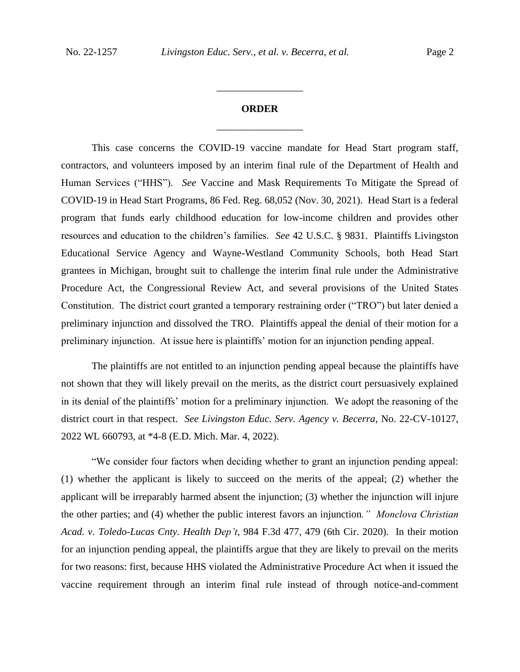## **ORDER** \_\_\_\_\_\_\_\_\_\_\_\_\_\_\_\_\_

\_\_\_\_\_\_\_\_\_\_\_\_\_\_\_\_\_

This case concerns the COVID-19 vaccine mandate for Head Start program staff, contractors, and volunteers imposed by an interim final rule of the Department of Health and Human Services ("HHS"). *See* Vaccine and Mask Requirements To Mitigate the Spread of COVID-19 in Head Start Programs, 86 Fed. Reg. 68,052 (Nov. 30, 2021). Head Start is a federal program that funds early childhood education for low-income children and provides other resources and education to the children's families. *See* 42 U.S.C. § 9831. Plaintiffs Livingston Educational Service Agency and Wayne-Westland Community Schools, both Head Start grantees in Michigan, brought suit to challenge the interim final rule under the Administrative Procedure Act, the Congressional Review Act, and several provisions of the United States Constitution. The district court granted a temporary restraining order ("TRO") but later denied a preliminary injunction and dissolved the TRO. Plaintiffs appeal the denial of their motion for a preliminary injunction. At issue here is plaintiffs' motion for an injunction pending appeal.

The plaintiffs are not entitled to an injunction pending appeal because the plaintiffs have not shown that they will likely prevail on the merits, as the district court persuasively explained in its denial of the plaintiffs' motion for a preliminary injunction. We adopt the reasoning of the district court in that respect. *See Livingston Educ. Serv. Agency v. Becerra*, No. 22-CV-10127, 2022 WL 660793, at \*4-8 (E.D. Mich. Mar. 4, 2022).

"We consider four factors when deciding whether to grant an injunction pending appeal: (1) whether the applicant is likely to succeed on the merits of the appeal; (2) whether the applicant will be irreparably harmed absent the injunction; (3) whether the injunction will injure the other parties; and (4) whether the public interest favors an injunction*." Monclova Christian Acad. v. Toledo-Lucas Cnty. Health Dep't*, 984 F.3d 477, 479 (6th Cir. 2020). In their motion for an injunction pending appeal, the plaintiffs argue that they are likely to prevail on the merits for two reasons: first, because HHS violated the Administrative Procedure Act when it issued the vaccine requirement through an interim final rule instead of through notice-and-comment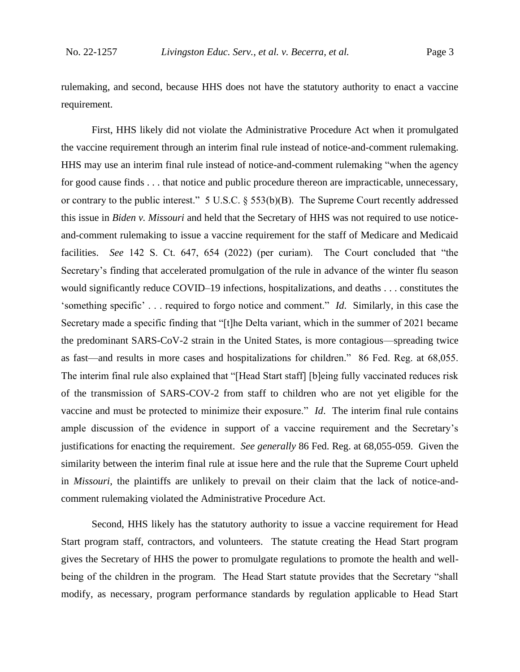rulemaking, and second, because HHS does not have the statutory authority to enact a vaccine requirement.

First, HHS likely did not violate the Administrative Procedure Act when it promulgated the vaccine requirement through an interim final rule instead of notice-and-comment rulemaking. HHS may use an interim final rule instead of notice-and-comment rulemaking "when the agency for good cause finds . . . that notice and public procedure thereon are impracticable, unnecessary, or contrary to the public interest." 5 U.S.C. § 553(b)(B). The Supreme Court recently addressed this issue in *Biden v. Missouri* and held that the Secretary of HHS was not required to use noticeand-comment rulemaking to issue a vaccine requirement for the staff of Medicare and Medicaid facilities. *See* 142 S. Ct. 647, 654 (2022) (per curiam). The Court concluded that "the Secretary's finding that accelerated promulgation of the rule in advance of the winter flu season would significantly reduce COVID–19 infections, hospitalizations, and deaths . . . constitutes the 'something specific' . . . required to forgo notice and comment." *Id*. Similarly, in this case the Secretary made a specific finding that "[t]he Delta variant, which in the summer of 2021 became the predominant SARS-CoV-2 strain in the United States, is more contagious—spreading twice as fast—and results in more cases and hospitalizations for children." 86 Fed. Reg. at 68,055. The interim final rule also explained that "[Head Start staff] [b]eing fully vaccinated reduces risk of the transmission of SARS-COV-2 from staff to children who are not yet eligible for the vaccine and must be protected to minimize their exposure." *Id*. The interim final rule contains ample discussion of the evidence in support of a vaccine requirement and the Secretary's justifications for enacting the requirement. *See generally* 86 Fed. Reg. at 68,055-059. Given the similarity between the interim final rule at issue here and the rule that the Supreme Court upheld in *Missouri*, the plaintiffs are unlikely to prevail on their claim that the lack of notice-andcomment rulemaking violated the Administrative Procedure Act.

Second, HHS likely has the statutory authority to issue a vaccine requirement for Head Start program staff, contractors, and volunteers. The statute creating the Head Start program gives the Secretary of HHS the power to promulgate regulations to promote the health and wellbeing of the children in the program. The Head Start statute provides that the Secretary "shall modify, as necessary, program performance standards by regulation applicable to Head Start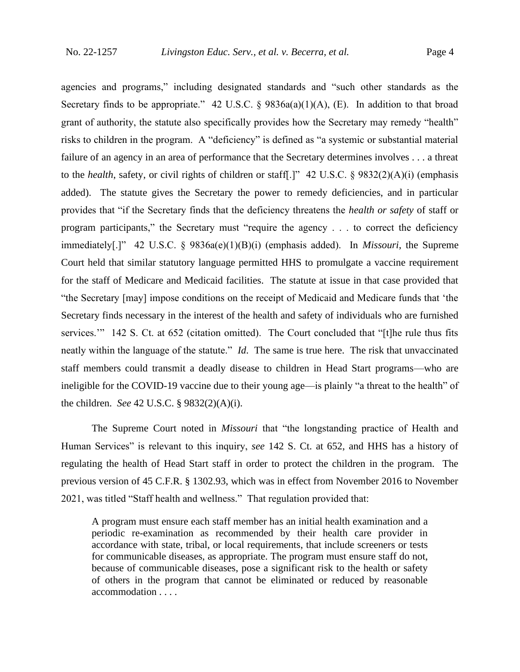agencies and programs," including designated standards and "such other standards as the Secretary finds to be appropriate." 42 U.S.C. §  $9836a(a)(1)(A)$ , (E). In addition to that broad grant of authority, the statute also specifically provides how the Secretary may remedy "health" risks to children in the program. A "deficiency" is defined as "a systemic or substantial material failure of an agency in an area of performance that the Secretary determines involves . . . a threat to the *health*, safety, or civil rights of children or staff[.]" 42 U.S.C. § 9832(2)(A)(i) (emphasis added). The statute gives the Secretary the power to remedy deficiencies, and in particular provides that "if the Secretary finds that the deficiency threatens the *health or safety* of staff or program participants," the Secretary must "require the agency . . . to correct the deficiency immediately[.]" 42 U.S.C. § 9836a(e)(1)(B)(i) (emphasis added). In *Missouri*, the Supreme Court held that similar statutory language permitted HHS to promulgate a vaccine requirement for the staff of Medicare and Medicaid facilities. The statute at issue in that case provided that "the Secretary [may] impose conditions on the receipt of Medicaid and Medicare funds that 'the Secretary finds necessary in the interest of the health and safety of individuals who are furnished services." 142 S. Ct. at 652 (citation omitted). The Court concluded that "[t]he rule thus fits neatly within the language of the statute." *Id*. The same is true here. The risk that unvaccinated staff members could transmit a deadly disease to children in Head Start programs—who are ineligible for the COVID-19 vaccine due to their young age—is plainly "a threat to the health" of the children. *See* 42 U.S.C. § 9832(2)(A)(i).

The Supreme Court noted in *Missouri* that "the longstanding practice of Health and Human Services" is relevant to this inquiry, *see* 142 S. Ct. at 652, and HHS has a history of regulating the health of Head Start staff in order to protect the children in the program. The previous version of 45 C.F.R. § 1302.93, which was in effect from November 2016 to November 2021, was titled "Staff health and wellness." That regulation provided that:

A program must ensure each staff member has an initial health examination and a periodic re-examination as recommended by their health care provider in accordance with state, tribal, or local requirements, that include screeners or tests for communicable diseases, as appropriate. The program must ensure staff do not, because of communicable diseases, pose a significant risk to the health or safety of others in the program that cannot be eliminated or reduced by reasonable accommodation . . . .